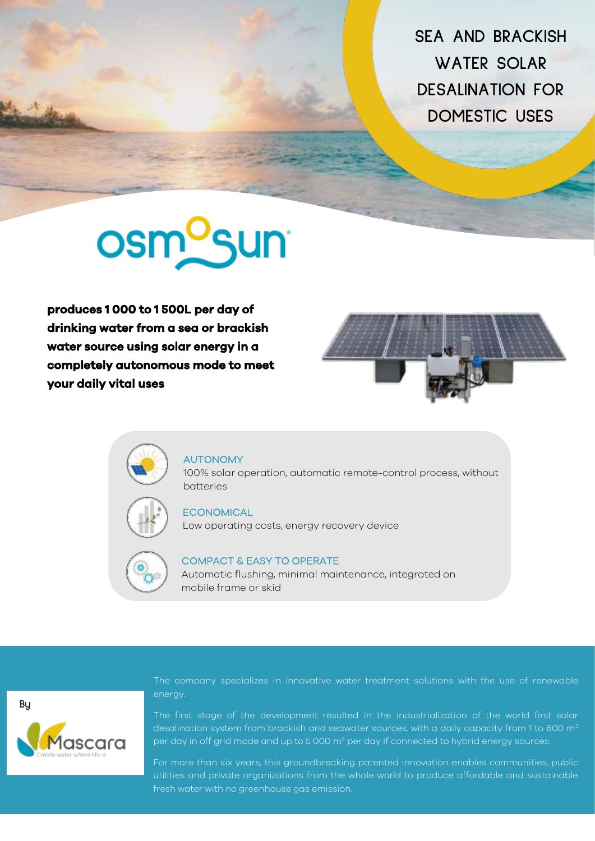**SEA AND BRACKISH WATER SOLAR DESALINATION FOR DOMESTIC USES** 

# **osm<sup>o</sup>sun**

**produces 1 000 to 1 500L per day of drinking water from a sea or brackish water source using solar energy in a completely autonomous mode to meet your daily vital uses** 





#### AUTONOMY

100% solar operation, automatic remote-control process, without batteries



#### **ECONOMICAL**

Low operating costs, energy recovery device



### COMPACT & EASY TO OPERATE

Automatic flushing, minimal maintenance, integrated on mobile frame or skid

**By**ascara The company specializes in innovative water treatment solutions with the use of renewable energy.

The first stage of the development resulted in the industrialization of the world first solar desalination system from brackish and seawater sources, with a daily capacity from 1 to 600 m<sup>3</sup> per day in off grid mode and up to 5 000 m<sup>3</sup> per day if connected to hybrid energy sources.

For more than six years, this groundbreaking patented innovation enables communities, public utilities and private organizations from the whole world to produce affordable and sustainable fresh water with no greenhouse gas emission.